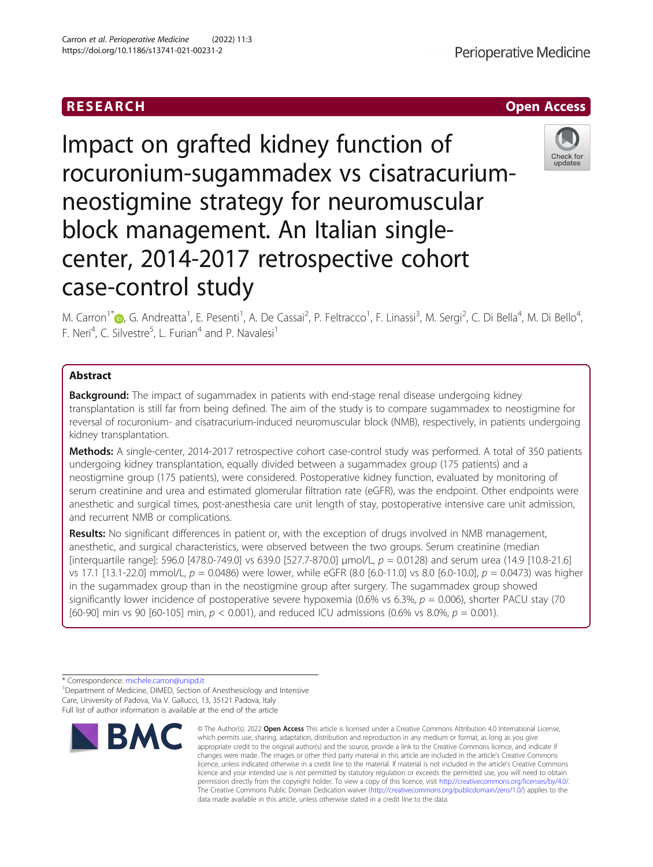# Impact on grafted kidney function of rocuronium-sugammadex vs cisatracuriumneostigmine strategy for neuromuscular block management. An Italian singlecenter, 2014-2017 retrospective cohort case-control study

M. Carron<sup>1</sup>[\\*](http://orcid.org/0000-0001-5104-4124)®, G. Andreatta<sup>1</sup>, E. Pesenti<sup>1</sup>, A. De Cassai<sup>2</sup>, P. Feltracco<sup>1</sup>, F. Linassi<sup>3</sup>, M. Sergi<sup>2</sup>, C. Di Bella<sup>4</sup>, M. Di Bello<sup>4</sup> , F. Neri<sup>4</sup>, C. Silvestre<sup>5</sup>, L. Furian<sup>4</sup> and P. Navalesi<sup>1</sup>

## Abstract

**Background:** The impact of sugammadex in patients with end-stage renal disease undergoing kidney transplantation is still far from being defined. The aim of the study is to compare sugammadex to neostigmine for reversal of rocuronium- and cisatracurium-induced neuromuscular block (NMB), respectively, in patients undergoing kidney transplantation.

Methods: A single-center, 2014-2017 retrospective cohort case-control study was performed. A total of 350 patients undergoing kidney transplantation, equally divided between a sugammadex group (175 patients) and a neostigmine group (175 patients), were considered. Postoperative kidney function, evaluated by monitoring of serum creatinine and urea and estimated glomerular filtration rate (eGFR), was the endpoint. Other endpoints were anesthetic and surgical times, post-anesthesia care unit length of stay, postoperative intensive care unit admission, and recurrent NMB or complications.

Results: No significant differences in patient or, with the exception of drugs involved in NMB management, anesthetic, and surgical characteristics, were observed between the two groups. Serum creatinine (median [interquartile range]: 596.0 [478.0-749.0] vs 639.0 [527.7-870.0] µmol/L,  $p = 0.0128$ ) and serum urea (14.9 [10.8-21.6] vs 17.1 [13.1-22.0] mmol/L,  $p = 0.0486$ ) were lower, while eGFR (8.0 [6.0-11.0] vs 8.0 [6.0-10.0],  $p = 0.0473$ ) was higher in the sugammadex group than in the neostigmine group after surgery. The sugammadex group showed significantly lower incidence of postoperative severe hypoxemia (0.6% vs 6.3%,  $p = 0.006$ ), shorter PACU stay (70 [60-90] min vs 90 [60-105] min,  $p < 0.001$ ), and reduced ICU admissions (0.6% vs 8.0%,  $p = 0.001$ ).

\* Correspondence: [michele.carron@unipd.it](mailto:michele.carron@unipd.it) <sup>1</sup>

<sup>1</sup>Department of Medicine, DIMED, Section of Anesthesiology and Intensive Care, University of Padova, Via V. Gallucci, 13, 35121 Padova, Italy Full list of author information is available at the end of the article



<sup>©</sup> The Author(s), 2022 **Open Access** This article is licensed under a Creative Commons Attribution 4.0 International License, which permits use, sharing, adaptation, distribution and reproduction in any medium or format, as long as you give appropriate credit to the original author(s) and the source, provide a link to the Creative Commons licence, and indicate if changes were made. The images or other third party material in this article are included in the article's Creative Commons licence, unless indicated otherwise in a credit line to the material. If material is not included in the article's Creative Commons licence and your intended use is not permitted by statutory regulation or exceeds the permitted use, you will need to obtain permission directly from the copyright holder. To view a copy of this licence, visit [http://creativecommons.org/licenses/by/4.0/.](http://creativecommons.org/licenses/by/4.0/) The Creative Commons Public Domain Dedication waiver [\(http://creativecommons.org/publicdomain/zero/1.0/](http://creativecommons.org/publicdomain/zero/1.0/)) applies to the data made available in this article, unless otherwise stated in a credit line to the data.



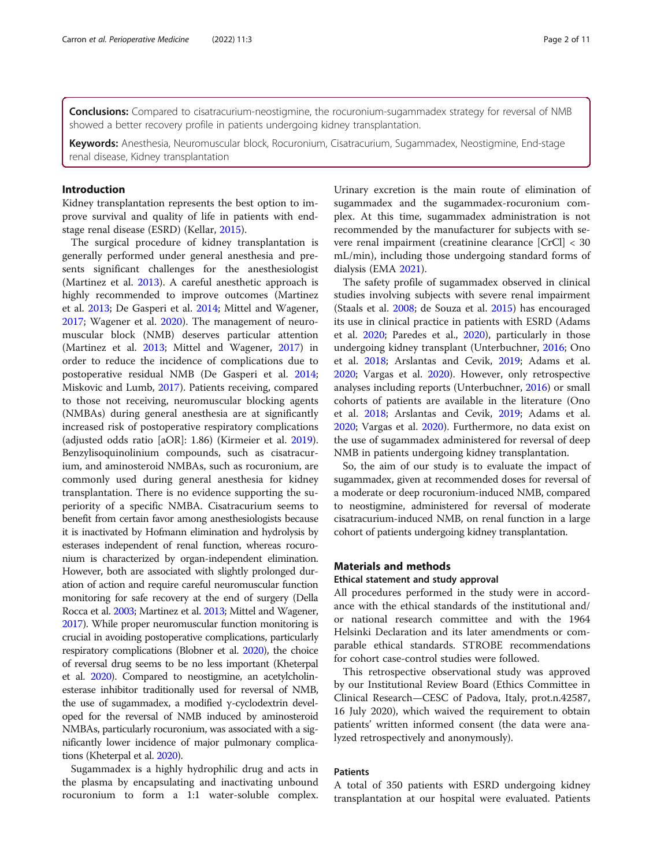Conclusions: Compared to cisatracurium-neostigmine, the rocuronium-sugammadex strategy for reversal of NMB showed a better recovery profile in patients undergoing kidney transplantation.

Keywords: Anesthesia, Neuromuscular block, Rocuronium, Cisatracurium, Sugammadex, Neostigmine, End-stage renal disease, Kidney transplantation

#### Introduction

Kidney transplantation represents the best option to improve survival and quality of life in patients with endstage renal disease (ESRD) (Kellar, [2015\)](#page-10-0).

The surgical procedure of kidney transplantation is generally performed under general anesthesia and presents significant challenges for the anesthesiologist (Martinez et al. [2013](#page-10-0)). A careful anesthetic approach is highly recommended to improve outcomes (Martinez et al. [2013](#page-10-0); De Gasperi et al. [2014;](#page-10-0) Mittel and Wagener, [2017](#page-10-0); Wagener et al. [2020](#page-10-0)). The management of neuromuscular block (NMB) deserves particular attention (Martinez et al. [2013](#page-10-0); Mittel and Wagener, [2017\)](#page-10-0) in order to reduce the incidence of complications due to postoperative residual NMB (De Gasperi et al. [2014](#page-10-0); Miskovic and Lumb, [2017](#page-10-0)). Patients receiving, compared to those not receiving, neuromuscular blocking agents (NMBAs) during general anesthesia are at significantly increased risk of postoperative respiratory complications (adjusted odds ratio [aOR]: 1.86) (Kirmeier et al. [2019](#page-10-0)). Benzylisoquinolinium compounds, such as cisatracurium, and aminosteroid NMBAs, such as rocuronium, are commonly used during general anesthesia for kidney transplantation. There is no evidence supporting the superiority of a specific NMBA. Cisatracurium seems to benefit from certain favor among anesthesiologists because it is inactivated by Hofmann elimination and hydrolysis by esterases independent of renal function, whereas rocuronium is characterized by organ-independent elimination. However, both are associated with slightly prolonged duration of action and require careful neuromuscular function monitoring for safe recovery at the end of surgery (Della Rocca et al. [2003](#page-10-0); Martinez et al. [2013;](#page-10-0) Mittel and Wagener, [2017\)](#page-10-0). While proper neuromuscular function monitoring is crucial in avoiding postoperative complications, particularly respiratory complications (Blobner et al. [2020](#page-9-0)), the choice of reversal drug seems to be no less important (Kheterpal et al. [2020\)](#page-10-0). Compared to neostigmine, an acetylcholinesterase inhibitor traditionally used for reversal of NMB, the use of sugammadex, a modified γ-cyclodextrin developed for the reversal of NMB induced by aminosteroid NMBAs, particularly rocuronium, was associated with a significantly lower incidence of major pulmonary complications (Kheterpal et al. [2020\)](#page-10-0).

Sugammadex is a highly hydrophilic drug and acts in the plasma by encapsulating and inactivating unbound rocuronium to form a 1:1 water-soluble complex. Urinary excretion is the main route of elimination of sugammadex and the sugammadex-rocuronium complex. At this time, sugammadex administration is not recommended by the manufacturer for subjects with severe renal impairment (creatinine clearance [CrCl] < 30 mL/min), including those undergoing standard forms of dialysis (EMA [2021](#page-10-0)).

The safety profile of sugammadex observed in clinical studies involving subjects with severe renal impairment (Staals et al. [2008](#page-10-0); de Souza et al. [2015\)](#page-10-0) has encouraged its use in clinical practice in patients with ESRD (Adams et al. [2020;](#page-9-0) Paredes et al., [2020](#page-10-0)), particularly in those undergoing kidney transplant (Unterbuchner, [2016;](#page-10-0) Ono et al. [2018](#page-10-0); Arslantas and Cevik, [2019;](#page-9-0) Adams et al. [2020](#page-9-0); Vargas et al. [2020](#page-10-0)). However, only retrospective analyses including reports (Unterbuchner, [2016](#page-10-0)) or small cohorts of patients are available in the literature (Ono et al. [2018](#page-10-0); Arslantas and Cevik, [2019;](#page-9-0) Adams et al. [2020](#page-9-0); Vargas et al. [2020\)](#page-10-0). Furthermore, no data exist on the use of sugammadex administered for reversal of deep NMB in patients undergoing kidney transplantation.

So, the aim of our study is to evaluate the impact of sugammadex, given at recommended doses for reversal of a moderate or deep rocuronium-induced NMB, compared to neostigmine, administered for reversal of moderate cisatracurium-induced NMB, on renal function in a large cohort of patients undergoing kidney transplantation.

### Materials and methods

#### Ethical statement and study approval

All procedures performed in the study were in accordance with the ethical standards of the institutional and/ or national research committee and with the 1964 Helsinki Declaration and its later amendments or comparable ethical standards. STROBE recommendations for cohort case-control studies were followed.

This retrospective observational study was approved by our Institutional Review Board (Ethics Committee in Clinical Research—CESC of Padova, Italy, prot.n.42587, 16 July 2020), which waived the requirement to obtain patients' written informed consent (the data were analyzed retrospectively and anonymously).

#### Patients

A total of 350 patients with ESRD undergoing kidney transplantation at our hospital were evaluated. Patients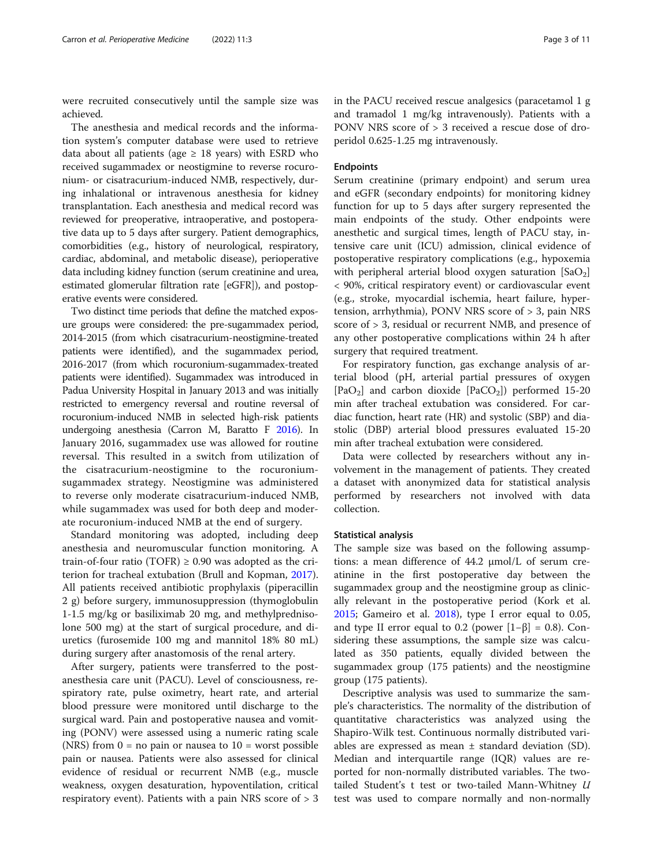were recruited consecutively until the sample size was achieved.

The anesthesia and medical records and the information system's computer database were used to retrieve data about all patients (age  $\geq$  18 years) with ESRD who received sugammadex or neostigmine to reverse rocuronium- or cisatracurium-induced NMB, respectively, during inhalational or intravenous anesthesia for kidney transplantation. Each anesthesia and medical record was reviewed for preoperative, intraoperative, and postoperative data up to 5 days after surgery. Patient demographics, comorbidities (e.g., history of neurological, respiratory, cardiac, abdominal, and metabolic disease), perioperative data including kidney function (serum creatinine and urea, estimated glomerular filtration rate [eGFR]), and postoperative events were considered.

Two distinct time periods that define the matched exposure groups were considered: the pre-sugammadex period, 2014-2015 (from which cisatracurium-neostigmine-treated patients were identified), and the sugammadex period, 2016-2017 (from which rocuronium-sugammadex-treated patients were identified). Sugammadex was introduced in Padua University Hospital in January 2013 and was initially restricted to emergency reversal and routine reversal of rocuronium-induced NMB in selected high-risk patients undergoing anesthesia (Carron M, Baratto F [2016](#page-10-0)). In January 2016, sugammadex use was allowed for routine reversal. This resulted in a switch from utilization of the cisatracurium-neostigmine to the rocuroniumsugammadex strategy. Neostigmine was administered to reverse only moderate cisatracurium-induced NMB, while sugammadex was used for both deep and moderate rocuronium-induced NMB at the end of surgery.

Standard monitoring was adopted, including deep anesthesia and neuromuscular function monitoring. A train-of-four ratio (TOFR)  $\geq$  0.90 was adopted as the criterion for tracheal extubation (Brull and Kopman, [2017](#page-9-0)). All patients received antibiotic prophylaxis (piperacillin 2 g) before surgery, immunosuppression (thymoglobulin 1-1.5 mg/kg or basiliximab 20 mg, and methylprednisolone 500 mg) at the start of surgical procedure, and diuretics (furosemide 100 mg and mannitol 18% 80 mL) during surgery after anastomosis of the renal artery.

After surgery, patients were transferred to the postanesthesia care unit (PACU). Level of consciousness, respiratory rate, pulse oximetry, heart rate, and arterial blood pressure were monitored until discharge to the surgical ward. Pain and postoperative nausea and vomiting (PONV) were assessed using a numeric rating scale (NRS) from  $0 =$  no pain or nausea to  $10 =$  worst possible pain or nausea. Patients were also assessed for clinical evidence of residual or recurrent NMB (e.g., muscle weakness, oxygen desaturation, hypoventilation, critical respiratory event). Patients with a pain NRS score of > 3 in the PACU received rescue analgesics (paracetamol 1 g and tramadol 1 mg/kg intravenously). Patients with a PONV NRS score of > 3 received a rescue dose of droperidol 0.625-1.25 mg intravenously.

#### Endpoints

Serum creatinine (primary endpoint) and serum urea and eGFR (secondary endpoints) for monitoring kidney function for up to 5 days after surgery represented the main endpoints of the study. Other endpoints were anesthetic and surgical times, length of PACU stay, intensive care unit (ICU) admission, clinical evidence of postoperative respiratory complications (e.g., hypoxemia with peripheral arterial blood oxygen saturation  $[SaO<sub>2</sub>]$ < 90%, critical respiratory event) or cardiovascular event (e.g., stroke, myocardial ischemia, heart failure, hypertension, arrhythmia), PONV NRS score of > 3, pain NRS score of > 3, residual or recurrent NMB, and presence of any other postoperative complications within 24 h after surgery that required treatment.

For respiratory function, gas exchange analysis of arterial blood (pH, arterial partial pressures of oxygen [PaO<sub>2</sub>] and carbon dioxide [PaCO<sub>2</sub>]) performed 15-20 min after tracheal extubation was considered. For cardiac function, heart rate (HR) and systolic (SBP) and diastolic (DBP) arterial blood pressures evaluated 15-20 min after tracheal extubation were considered.

Data were collected by researchers without any involvement in the management of patients. They created a dataset with anonymized data for statistical analysis performed by researchers not involved with data collection.

#### Statistical analysis

The sample size was based on the following assumptions: a mean difference of 44.2 μmol/L of serum creatinine in the first postoperative day between the sugammadex group and the neostigmine group as clinically relevant in the postoperative period (Kork et al. [2015](#page-10-0); Gameiro et al. [2018](#page-10-0)), type I error equal to 0.05, and type II error equal to 0.2 (power  $[1-\beta] = 0.8$ ). Considering these assumptions, the sample size was calculated as 350 patients, equally divided between the sugammadex group (175 patients) and the neostigmine group (175 patients).

Descriptive analysis was used to summarize the sample's characteristics. The normality of the distribution of quantitative characteristics was analyzed using the Shapiro-Wilk test. Continuous normally distributed variables are expressed as mean  $\pm$  standard deviation (SD). Median and interquartile range (IQR) values are reported for non-normally distributed variables. The twotailed Student's t test or two-tailed Mann-Whitney U test was used to compare normally and non-normally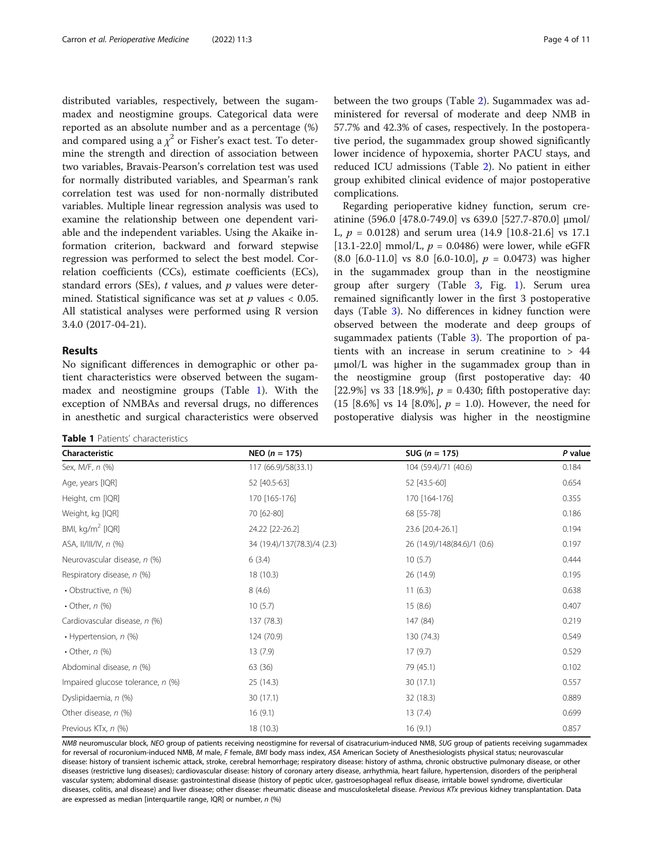distributed variables, respectively, between the sugammadex and neostigmine groups. Categorical data were reported as an absolute number and as a percentage (%) and compared using a  $\chi^2$  or Fisher's exact test. To determine the strength and direction of association between two variables, Bravais-Pearson's correlation test was used for normally distributed variables, and Spearman's rank correlation test was used for non-normally distributed variables. Multiple linear regression analysis was used to examine the relationship between one dependent variable and the independent variables. Using the Akaike information criterion, backward and forward stepwise regression was performed to select the best model. Correlation coefficients (CCs), estimate coefficients (ECs), standard errors (SEs),  $t$  values, and  $p$  values were determined. Statistical significance was set at  $p$  values < 0.05. All statistical analyses were performed using R version 3.4.0 (2017-04-21).

#### Results

No significant differences in demographic or other patient characteristics were observed between the sugammadex and neostigmine groups (Table 1). With the exception of NMBAs and reversal drugs, no differences in anesthetic and surgical characteristics were observed

Table 1 Patients' characteristics

between the two groups (Table [2](#page-4-0)). Sugammadex was administered for reversal of moderate and deep NMB in 57.7% and 42.3% of cases, respectively. In the postoperative period, the sugammadex group showed significantly lower incidence of hypoxemia, shorter PACU stays, and reduced ICU admissions (Table [2\)](#page-4-0). No patient in either group exhibited clinical evidence of major postoperative complications.

Regarding perioperative kidney function, serum creatinine (596.0 [478.0-749.0] vs 639.0 [527.7-870.0] μmol/ L,  $p = 0.0128$ ) and serum urea (14.9 [10.8-21.6] vs 17.1 [13.1-22.0] mmol/L,  $p = 0.0486$ ) were lower, while eGFR  $(8.0 \; [6.0-11.0] \; \text{vs} \; 8.0 \; [6.0-10.0], \; p = 0.0473)$  was higher in the sugammadex group than in the neostigmine group after surgery (Table [3,](#page-5-0) Fig. [1](#page-6-0)). Serum urea remained significantly lower in the first 3 postoperative days (Table [3](#page-5-0)). No differences in kidney function were observed between the moderate and deep groups of sugammadex patients (Table [3](#page-5-0)). The proportion of patients with an increase in serum creatinine to > 44 μmol/L was higher in the sugammadex group than in the neostigmine group (first postoperative day: 40 [22.9%] vs 33 [18.9%],  $p = 0.430$ ; fifth postoperative day:  $(15 [8.6\%] \text{ vs } 14 [8.0\%], p = 1.0)$ . However, the need for postoperative dialysis was higher in the neostigmine

| Characteristic                    | NEO $(n = 175)$             | SUG ( $n = 175$ )           | P value |
|-----------------------------------|-----------------------------|-----------------------------|---------|
| Sex, M/F, n (%)                   | 117 (66.9)/58(33.1)         | 104 (59.4)/71 (40.6)        | 0.184   |
| Age, years [IQR]                  | 52 [40.5-63]                | 52 [43.5-60]                | 0.654   |
| Height, cm [IQR]                  | 170 [165-176]               | 170 [164-176]               | 0.355   |
| Weight, kg [IQR]                  | 70 [62-80]                  | 68 [55-78]                  | 0.186   |
| BMI, kg/m <sup>2</sup> [IQR]      | 24.22 [22-26.2]             | 23.6 [20.4-26.1]            | 0.194   |
| ASA, II/III/IV, n (%)             | 34 (19.4)/137(78.3)/4 (2.3) | 26 (14.9)/148(84.6)/1 (0.6) | 0.197   |
| Neurovascular disease, n (%)      | 6(3.4)                      | 10(5.7)                     | 0.444   |
| Respiratory disease, n (%)        | 18 (10.3)                   | 26 (14.9)                   | 0.195   |
| • Obstructive, n (%)              | 8(4.6)                      | 11(6.3)                     | 0.638   |
| • Other, $n$ (%)                  | 10(5.7)                     | 15(8.6)                     | 0.407   |
| Cardiovascular disease, n (%)     | 137 (78.3)                  | 147 (84)                    | 0.219   |
| • Hypertension, n (%)             | 124 (70.9)                  | 130 (74.3)                  | 0.549   |
| • Other, $n$ (%)                  | 13(7.9)                     | 17(9.7)                     | 0.529   |
| Abdominal disease, n (%)          | 63 (36)                     | 79 (45.1)                   | 0.102   |
| Impaired glucose tolerance, n (%) | 25(14.3)                    | 30 (17.1)                   | 0.557   |
| Dyslipidaemia, n (%)              | 30 (17.1)                   | 32 (18.3)                   | 0.889   |
| Other disease, n (%)              | 16(9.1)                     | 13(7.4)                     | 0.699   |
| Previous KTx, n (%)               | 18 (10.3)                   | 16(9.1)                     | 0.857   |

NMB neuromuscular block, NEO group of patients receiving neostigmine for reversal of cisatracurium-induced NMB, SUG group of patients receiving sugammadex for reversal of rocuronium-induced NMB, M male, F female, BMI body mass index, ASA American Society of Anesthesiologists physical status; neurovascular disease: history of transient ischemic attack, stroke, cerebral hemorrhage; respiratory disease: history of asthma, chronic obstructive pulmonary disease, or other diseases (restrictive lung diseases); cardiovascular disease: history of coronary artery disease, arrhythmia, heart failure, hypertension, disorders of the peripheral vascular system; abdominal disease: gastrointestinal disease (history of peptic ulcer, gastroesophageal reflux disease, irritable bowel syndrome, diverticular diseases, colitis, anal disease) and liver disease; other disease: rheumatic disease and musculoskeletal disease. Previous KTx previous kidney transplantation. Data are expressed as median [interquartile range, IQR] or number, n (%)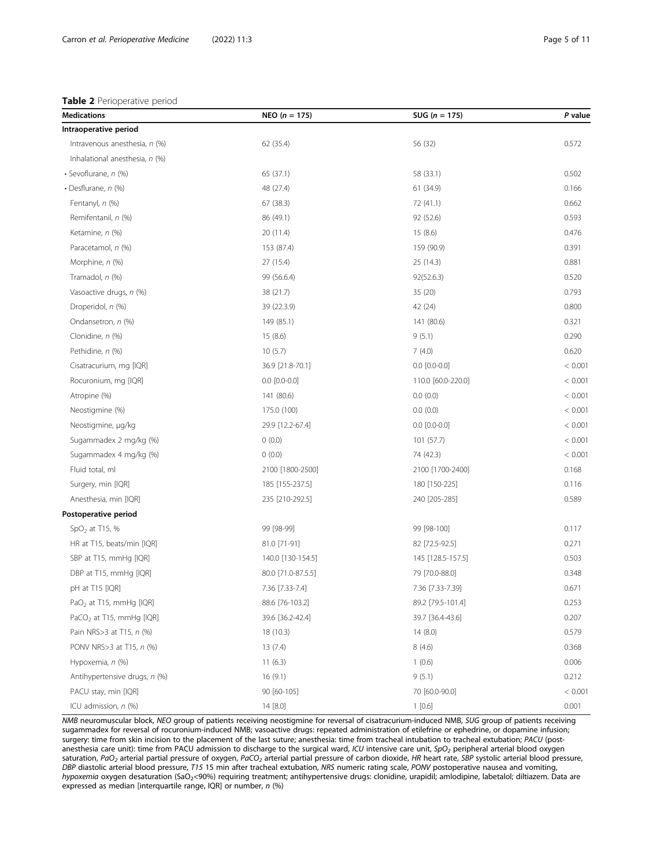#### <span id="page-4-0"></span>Table 2 Perioperative period

| <b>Medications</b>                   | NEO ( $n = 175$ )   | SUG ( $n = 175$ )   | P value |
|--------------------------------------|---------------------|---------------------|---------|
| Intraoperative period                |                     |                     |         |
| Intravenous anesthesia, n (%)        | 62 (35.4)           | 56 (32)             | 0.572   |
| Inhalational anesthesia, n (%)       |                     |                     |         |
| • Sevoflurane, n (%)                 | 65 (37.1)           | 58 (33.1)           | 0.502   |
| • Desflurane, $n$ (%)                | 48 (27.4)           | 61 (34.9)           | 0.166   |
| Fentanyl, n (%)                      | 67 (38.3)           | 72 (41.1)           | 0.662   |
| Remifentanil, n (%)                  | 86 (49.1)           | 92 (52.6)           | 0.593   |
| Ketamine, n (%)                      | 20 (11.4)           | 15 (8.6)            | 0.476   |
| Paracetamol, n (%)                   | 153 (87.4)          | 159 (90.9)          | 0.391   |
| Morphine, n (%)                      | 27 (15.4)           | 25 (14.3)           | 0.881   |
| Tramadol, n (%)                      | 99 (56.6.4)         | 92(52.6.3)          | 0.520   |
| Vasoactive drugs, n (%)              | 38 (21.7)           | 35(20)              | 0.793   |
| Droperidol, n (%)                    | 39 (22.3.9)         | 42 (24)             | 0.800   |
| Ondansetron, n (%)                   | 149 (85.1)          | 141 (80.6)          | 0.321   |
| Clonidine, n (%)                     | 15(8.6)             | 9(5.1)              | 0.290   |
| Pethidine, n (%)                     | 10(5.7)             | 7(4.0)              | 0.620   |
| Cisatracurium, mg [IQR]              | 36.9 [21.8-70.1]    | $0.0$ $[0.0 - 0.0]$ | < 0.001 |
| Rocuronium, mg [IQR]                 | $0.0$ $[0.0 - 0.0]$ | 110.0 [60.0-220.0]  | < 0.001 |
| Atropine (%)                         | 141 (80.6)          | 0.0(0.0)            | < 0.001 |
| Neostigmine (%)                      | 175.0 (100)         | 0.0(0.0)            | < 0.001 |
| Neostigmine, µg/kg                   | 29.9 [12.2-67.4]    | $0.0$ $[0.0 - 0.0]$ | < 0.001 |
| Sugammadex 2 mg/kg (%)               | 0(0.0)              | 101(57.7)           | < 0.001 |
| Sugammadex 4 mg/kg (%)               | 0(0.0)              | 74 (42.3)           | < 0.001 |
| Fluid total, ml                      | 2100 [1800-2500]    | 2100 [1700-2400]    | 0.168   |
| Surgery, min [IQR]                   | 185 [155-237.5]     | 180 [150-225]       | 0.116   |
| Anesthesia, min [IQR]                | 235 [210-292.5]     | 240 [205-285]       | 0.589   |
| Postoperative period                 |                     |                     |         |
| $SpO2$ at T15, %                     | 99 [98-99]          | 99 [98-100]         | 0.117   |
| HR at T15, beats/min [IQR]           | 81.0 [71-91]        | 82 [72.5-92.5]      | 0.271   |
| SBP at T15, mmHg [IQR]               | 140.0 [130-154.5]   | 145 [128.5-157.5]   | 0.503   |
| DBP at T15, mmHg [IQR]               | 80.0 [71.0-87.5.5]  | 79 [70.0-88.0]      | 0.348   |
| pH at T15 [IQR]                      | 7.36 [7.33-7.4]     | 7.36 [7.33-7.39]    | 0.671   |
| PaO <sub>2</sub> at T15, mmHg [IQR]  | 88.6 [76-103.2]     | 89.2 [79.5-101.4]   | 0.253   |
| PaCO <sub>2</sub> at T15, mmHg [IQR] | 39.6 [36.2-42.4]    | 39.7 [36.4-43.6]    | 0.207   |
| Pain NRS>3 at T15, n (%)             | 18 (10.3)           | 14(8.0)             | 0.579   |
| PONV NRS>3 at T15, n (%)             | 13(7.4)             | 8(4.6)              | 0.368   |
| Hypoxemia, n (%)                     | 11(6.3)             | 1(0.6)              | 0.006   |
| Antihypertensive drugs, n (%)        | 16(9.1)             | 9(5.1)              | 0.212   |
| PACU stay, min [IQR]                 | 90 [60-105]         | 70 [60.0-90.0]      | < 0.001 |
| ICU admission, n (%)                 | 14 [8.0]            | 1[0.6]              | 0.001   |

NMB neuromuscular block, NEO group of patients receiving neostigmine for reversal of cisatracurium-induced NMB, SUG group of patients receiving sugammadex for reversal of rocuronium-induced NMB; vasoactive drugs: repeated administration of etilefrine or ephedrine, or dopamine infusion; surgery: time from skin incision to the placement of the last suture; anesthesia: time from tracheal intubation to tracheal extubation; PACU (postanesthesia care unit): time from PACU admission to discharge to the surgical ward, ICU intensive care unit,  $SpO<sub>2</sub>$  peripheral arterial blood oxygen saturation, PaO<sub>2</sub> arterial partial pressure of oxygen, PaCO<sub>2</sub> arterial partial pressure of carbon dioxide, HR heart rate, SBP systolic arterial blood pressure, DBP diastolic arterial blood pressure, T15 15 min after tracheal extubation, NRS numeric rating scale, PONV postoperative nausea and vomiting, hypoxemia oxygen desaturation (SaO<sub>2</sub><90%) requiring treatment; antihypertensive drugs: clonidine, urapidil; amlodipine, labetalol; diltiazem. Data are expressed as median [interquartile range, IQR] or number, n (%)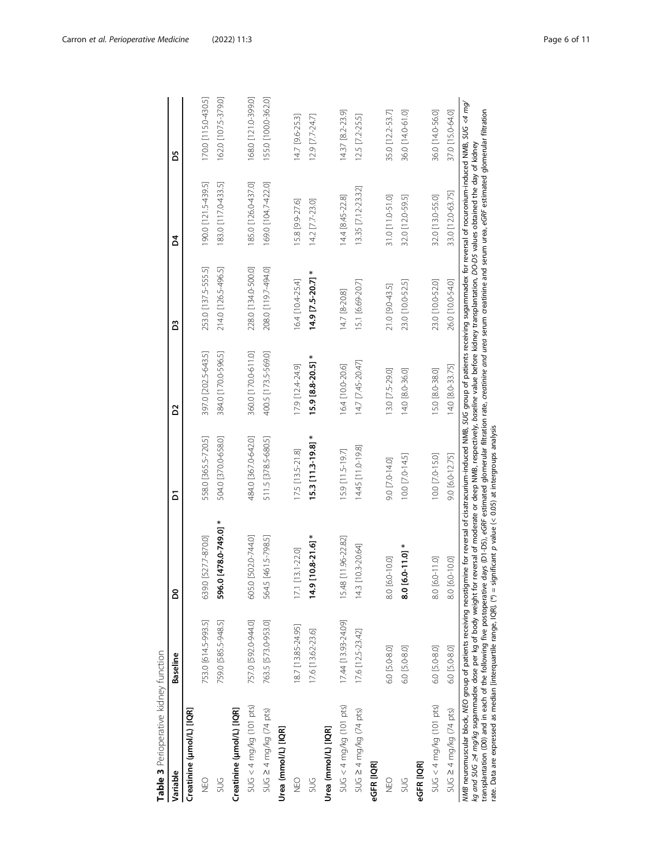<span id="page-5-0"></span>

| Table 3 Perioperative kidney function                                                                                                                                                                                                                                                                                                                                                                                                                                                                                                                                                                                                                                                                        |                     |                                |                                                        |                     |                      |                     |                     |
|--------------------------------------------------------------------------------------------------------------------------------------------------------------------------------------------------------------------------------------------------------------------------------------------------------------------------------------------------------------------------------------------------------------------------------------------------------------------------------------------------------------------------------------------------------------------------------------------------------------------------------------------------------------------------------------------------------------|---------------------|--------------------------------|--------------------------------------------------------|---------------------|----------------------|---------------------|---------------------|
| Variable                                                                                                                                                                                                                                                                                                                                                                                                                                                                                                                                                                                                                                                                                                     | <b>Baseline</b>     | 8                              | δ                                                      | 2                   | B                    | Ճ                   | 59                  |
| Creatinine (µmol/L) [IQR]                                                                                                                                                                                                                                                                                                                                                                                                                                                                                                                                                                                                                                                                                    |                     |                                |                                                        |                     |                      |                     |                     |
| <b>D</b><br>NEO                                                                                                                                                                                                                                                                                                                                                                                                                                                                                                                                                                                                                                                                                              | 753.0 [614.5-993.5] | 639.0 [527.7-870.0]            | 558.0 [365.5-720.5]                                    | 397.0 [202.5-643.5] | 253.0 [137.5-555.5]  | 190.0 [121.5-439.5] | 170.0 [115.0-430.5] |
| <b>SUG</b>                                                                                                                                                                                                                                                                                                                                                                                                                                                                                                                                                                                                                                                                                                   | 759.0 [585.5-948.5] | *<br>596.0 [478.0-749.0]       | 504.0 [370.0-658.0]                                    | 384.0 [170.0-596.5] | 214.0 [126.5-496.5]  | 183.0 [117.0-433.5] | 162.0 [107.5-379.0] |
| Creatinine (µmol/L) [IQR]                                                                                                                                                                                                                                                                                                                                                                                                                                                                                                                                                                                                                                                                                    |                     |                                |                                                        |                     |                      |                     |                     |
| $SUG < 4$ mg/kg (101 pts)                                                                                                                                                                                                                                                                                                                                                                                                                                                                                                                                                                                                                                                                                    | 757.0 [592.0-944.0] | $0$ [502.0-744.0]<br>605.      | 484.0 [367.0-642.0]                                    | 360.0 [170.0-611.0] | 228.0 [134.0-500.0]  | 85.0 [126.0-437.0]  | 168.0 [121.0-399.0] |
| $SUG \geq 4$ mg/kg (74 pts)                                                                                                                                                                                                                                                                                                                                                                                                                                                                                                                                                                                                                                                                                  | 763.5 [573.0-953.0] | 564.5 [461.5-798.5]            | 511.5 [378.5-680.5]                                    | 400.5 [173.5-569.0] | 208.0 [119.7-494.0]  | 169.0 [104.7-422.0] | 155.0 [100.0-362.0] |
| Urea (mmol/L) [IQR]                                                                                                                                                                                                                                                                                                                                                                                                                                                                                                                                                                                                                                                                                          |                     |                                |                                                        |                     |                      |                     |                     |
| <b>DED</b>                                                                                                                                                                                                                                                                                                                                                                                                                                                                                                                                                                                                                                                                                                   | 18.7 [13.85-24.95]  | $[13.1 - 22.0]$<br>17.1        | 17.5 [13.5-21.8]                                       | 17.9 [12.4-24.9]    | 16.4 [10.4-25.4]     | 15.8 9.9-27.6       | 14.7 [9.6-25.3]     |
| <b>SUG</b>                                                                                                                                                                                                                                                                                                                                                                                                                                                                                                                                                                                                                                                                                                   | 17.6 [13.62-23.6]   | $9$ [10.8-21.6] $*$<br>ż,      | $15.3$ [11.3-19.8] *                                   | 15.9 [8.8-20.5]     | ∗<br>14.9 [7.5-20.7] | 14.2 [7.7-23.0]     | 12.9 [7.7-24.7]     |
| Urea (mmol/L) [IQR]                                                                                                                                                                                                                                                                                                                                                                                                                                                                                                                                                                                                                                                                                          |                     |                                |                                                        |                     |                      |                     |                     |
| $SUG < 4$ mg/kg (101 pts)                                                                                                                                                                                                                                                                                                                                                                                                                                                                                                                                                                                                                                                                                    | 17.44 [13.93-24.09] | 15.48 [11.96-22.82]            | 15.9 [11.5-19.7]                                       | 16.4 [10.0-20.6]    | 14.7 [8-20.8]        | 14.4 [8.45-22.8]    | 14.37 [8.2-23.9]    |
| $SUG \geq 4$ mg/kg (74 pts)                                                                                                                                                                                                                                                                                                                                                                                                                                                                                                                                                                                                                                                                                  | 17.6 [12.5-23.42]   | 14.3 [10.3-20.64]              | 14.45 [11.0-19.8]                                      | 14.7 [7.45-20.47]   | 15.1 [6.69-20.7]     | 13.35 [7.12-23.32]  | 12.5 [7.2-25.5]     |
| eGFR [IQR]                                                                                                                                                                                                                                                                                                                                                                                                                                                                                                                                                                                                                                                                                                   |                     |                                |                                                        |                     |                      |                     |                     |
| <b>SHO</b>                                                                                                                                                                                                                                                                                                                                                                                                                                                                                                                                                                                                                                                                                                   | 6.0 [5.0-8.0]       | [6.0-10.0]<br>$\frac{1}{80}$   | 9.0 [7.0-14.0]                                         | 13.0 [7.5-29.0]     | 21.0 [9.0-43.5]      | 31.0 [11.0-51.0]    | 35.0 [12.2-53.7]    |
| <b>SUG</b>                                                                                                                                                                                                                                                                                                                                                                                                                                                                                                                                                                                                                                                                                                   | 6.0 [5.0-8.0]       | $8.0$ [6.0-11.0] $*$           | 10.0 [7.0-14.5]                                        | 14.0 [8.0-36.0]     | 23.0 [10.0-52.5]     | 32.0 [12.0-59.5]    | 36.0 [14.0-61.0]    |
| eGFR [IQR]                                                                                                                                                                                                                                                                                                                                                                                                                                                                                                                                                                                                                                                                                                   |                     |                                |                                                        |                     |                      |                     |                     |
| $SUG < 4$ mg/kg (101 pts)                                                                                                                                                                                                                                                                                                                                                                                                                                                                                                                                                                                                                                                                                    | 6.0 [5.0-8.0]       | 8.0 [6.0-11.0]                 | 10.0 [7.0-15.0]                                        | 15.0 [8.0-38.0]     | 23.0 [10.0-52.0]     | 32.0 [13.0-55.0]    | 36.0 [14.0-56.0]    |
| $SUG \geq 4 \, mg/kg$ (74 pts)                                                                                                                                                                                                                                                                                                                                                                                                                                                                                                                                                                                                                                                                               | 6.0 [5.0-8.0]       | [6.0-10.0]<br>$\overline{8.0}$ | 9.0 [6.0-12.75]                                        | 14.0 [8.0-33.75]    | 26.0 [10.0-54.0]     | 33.0 [12.0-63.75]   | 37.0 [15.0-64.0]    |
| transplantation (D0) and in each of the following five postoperative days (D1-D5), eGRF estimated glomerular filtration rate, creatinine and urea serum creatinine and serum urea, eGRF estimated glomerular filtration<br>MMB neuromuscular block, MEO group of patients receiving neostigmine for reversal of cisatracurium-induced NMB, SUG group of patients receiving sugammadex for reversal of rocuronium-induced NMB,<br>kg and SUG 24 mg/kg sugammadex dose per kg of body weight for reversal of moderate or deep NMB, respectively, baseline value before kidney transplantation, DO-DS values obtained the day of kidney<br>rate. Data are expressed as median [interquartile range, IQR]. (*) = |                     |                                | significant $p$ value (< 0.05) at intergroups analysis |                     |                      |                     | $SUG < 4$ mg/       |

Table 3 Perioperative kidney function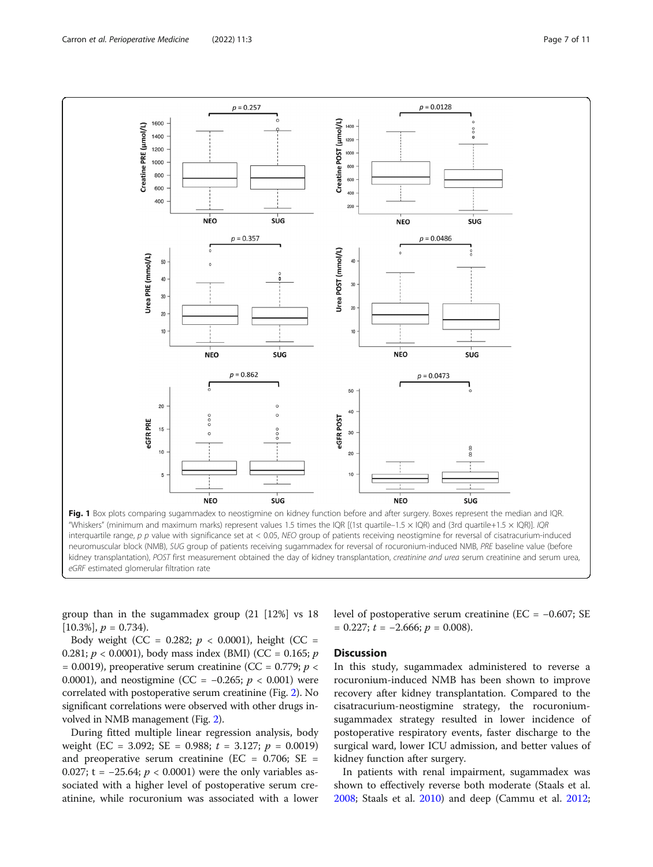<span id="page-6-0"></span>

group than in the sugammadex group (21 [12%] vs 18  $[10.3\%]$ ,  $p = 0.734$ ).

level of postoperative serum creatinine (EC = −0.607; SE  $= 0.227$ ;  $t = -2.666$ ;  $p = 0.008$ ).

Body weight (CC = 0.282;  $p < 0.0001$ ), height (CC = 0.281;  $p < 0.0001$ ), body mass index (BMI) (CC = 0.165; p  $= 0.0019$ ), preoperative serum creatinine (CC = 0.779; p < 0.0001), and neostigmine (CC =  $-0.265$ ;  $p < 0.001$ ) were correlated with postoperative serum creatinine (Fig. [2](#page-7-0)). No significant correlations were observed with other drugs involved in NMB management (Fig. [2](#page-7-0)).

During fitted multiple linear regression analysis, body weight (EC = 3.092; SE = 0.988;  $t = 3.127$ ;  $p = 0.0019$ ) and preoperative serum creatinine (EC =  $0.706$ ; SE = 0.027; t =  $-25.64$ ;  $p < 0.0001$ ) were the only variables associated with a higher level of postoperative serum creatinine, while rocuronium was associated with a lower

#### **Discussion**

In this study, sugammadex administered to reverse a rocuronium-induced NMB has been shown to improve recovery after kidney transplantation. Compared to the cisatracurium-neostigmine strategy, the rocuroniumsugammadex strategy resulted in lower incidence of postoperative respiratory events, faster discharge to the surgical ward, lower ICU admission, and better values of kidney function after surgery.

In patients with renal impairment, sugammadex was shown to effectively reverse both moderate (Staals et al. [2008](#page-10-0); Staals et al. [2010](#page-10-0)) and deep (Cammu et al. [2012](#page-10-0);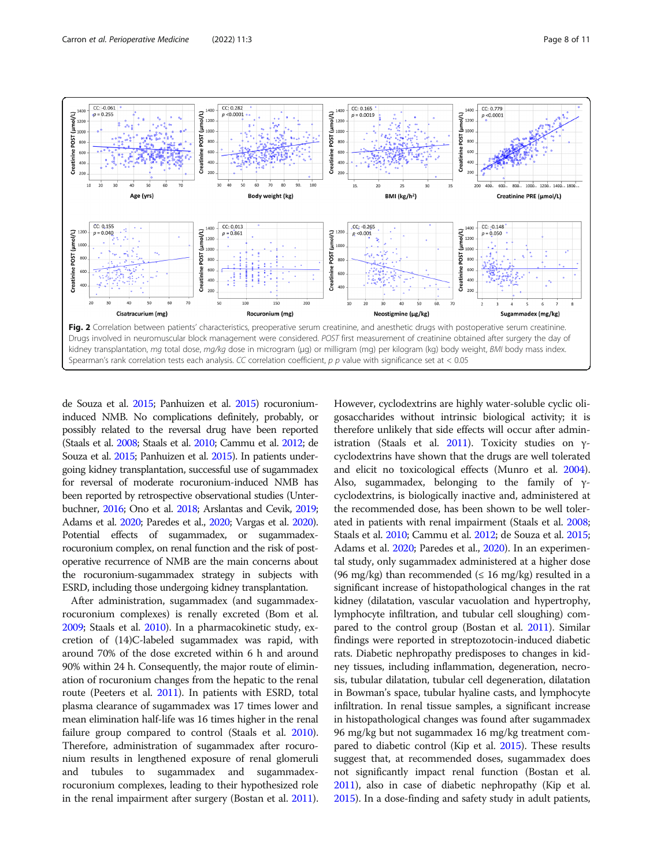<span id="page-7-0"></span>

de Souza et al. [2015;](#page-10-0) Panhuizen et al. [2015](#page-10-0)) rocuroniuminduced NMB. No complications definitely, probably, or possibly related to the reversal drug have been reported (Staals et al. [2008](#page-10-0); Staals et al. [2010;](#page-10-0) Cammu et al. [2012](#page-10-0); de Souza et al. [2015;](#page-10-0) Panhuizen et al. [2015\)](#page-10-0). In patients undergoing kidney transplantation, successful use of sugammadex for reversal of moderate rocuronium-induced NMB has been reported by retrospective observational studies (Unterbuchner, [2016;](#page-10-0) Ono et al. [2018](#page-10-0); Arslantas and Cevik, [2019](#page-9-0); Adams et al. [2020](#page-9-0); Paredes et al., [2020;](#page-10-0) Vargas et al. [2020](#page-10-0)). Potential effects of sugammadex, or sugammadexrocuronium complex, on renal function and the risk of postoperative recurrence of NMB are the main concerns about the rocuronium-sugammadex strategy in subjects with ESRD, including those undergoing kidney transplantation.

After administration, sugammadex (and sugammadexrocuronium complexes) is renally excreted (Bom et al. [2009;](#page-9-0) Staals et al. [2010](#page-10-0)). In a pharmacokinetic study, excretion of (14)C-labeled sugammadex was rapid, with around 70% of the dose excreted within 6 h and around 90% within 24 h. Consequently, the major route of elimination of rocuronium changes from the hepatic to the renal route (Peeters et al. [2011\)](#page-10-0). In patients with ESRD, total plasma clearance of sugammadex was 17 times lower and mean elimination half-life was 16 times higher in the renal failure group compared to control (Staals et al. [2010](#page-10-0)). Therefore, administration of sugammadex after rocuronium results in lengthened exposure of renal glomeruli and tubules to sugammadex and sugammadexrocuronium complexes, leading to their hypothesized role in the renal impairment after surgery (Bostan et al. [2011](#page-9-0)).

However, cyclodextrins are highly water-soluble cyclic oligosaccharides without intrinsic biological activity; it is therefore unlikely that side effects will occur after admin-istration (Staals et al. [2011\)](#page-10-0). Toxicity studies on  $\gamma$ cyclodextrins have shown that the drugs are well tolerated and elicit no toxicological effects (Munro et al. [2004](#page-10-0)). Also, sugammadex, belonging to the family of  $\gamma$ cyclodextrins, is biologically inactive and, administered at the recommended dose, has been shown to be well tolerated in patients with renal impairment (Staals et al. [2008](#page-10-0); Staals et al. [2010](#page-10-0); Cammu et al. [2012](#page-10-0); de Souza et al. [2015](#page-10-0); Adams et al. [2020;](#page-9-0) Paredes et al., [2020](#page-10-0)). In an experimental study, only sugammadex administered at a higher dose (96 mg/kg) than recommended ( $\leq$  16 mg/kg) resulted in a significant increase of histopathological changes in the rat kidney (dilatation, vascular vacuolation and hypertrophy, lymphocyte infiltration, and tubular cell sloughing) compared to the control group (Bostan et al. [2011\)](#page-9-0). Similar findings were reported in streptozotocin-induced diabetic rats. Diabetic nephropathy predisposes to changes in kidney tissues, including inflammation, degeneration, necrosis, tubular dilatation, tubular cell degeneration, dilatation in Bowman's space, tubular hyaline casts, and lymphocyte infiltration. In renal tissue samples, a significant increase in histopathological changes was found after sugammadex 96 mg/kg but not sugammadex 16 mg/kg treatment compared to diabetic control (Kip et al. [2015](#page-10-0)). These results suggest that, at recommended doses, sugammadex does not significantly impact renal function (Bostan et al. [2011](#page-9-0)), also in case of diabetic nephropathy (Kip et al. [2015](#page-10-0)). In a dose-finding and safety study in adult patients,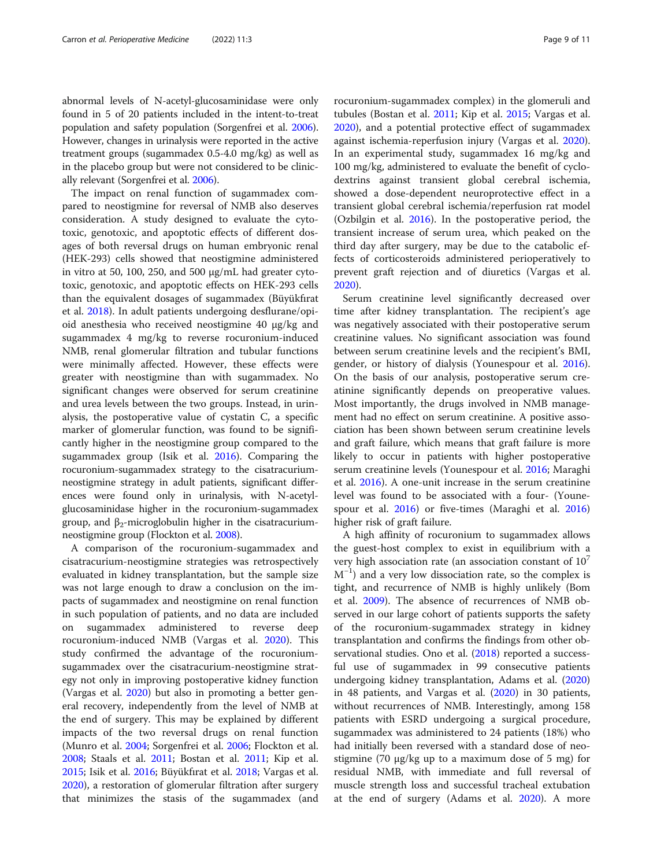abnormal levels of N-acetyl-glucosaminidase were only found in 5 of 20 patients included in the intent-to-treat population and safety population (Sorgenfrei et al. [2006](#page-10-0)). However, changes in urinalysis were reported in the active treatment groups (sugammadex 0.5-4.0 mg/kg) as well as in the placebo group but were not considered to be clinically relevant (Sorgenfrei et al. [2006\)](#page-10-0).

The impact on renal function of sugammadex compared to neostigmine for reversal of NMB also deserves consideration. A study designed to evaluate the cytotoxic, genotoxic, and apoptotic effects of different dosages of both reversal drugs on human embryonic renal (HEK-293) cells showed that neostigmine administered in vitro at 50, 100, 250, and 500 μg/mL had greater cytotoxic, genotoxic, and apoptotic effects on HEK-293 cells than the equivalent dosages of sugammadex (Büyükfırat et al. [2018](#page-10-0)). In adult patients undergoing desflurane/opioid anesthesia who received neostigmine 40 μg/kg and sugammadex 4 mg/kg to reverse rocuronium-induced NMB, renal glomerular filtration and tubular functions were minimally affected. However, these effects were greater with neostigmine than with sugammadex. No significant changes were observed for serum creatinine and urea levels between the two groups. Instead, in urinalysis, the postoperative value of cystatin C, a specific marker of glomerular function, was found to be significantly higher in the neostigmine group compared to the sugammadex group (Isik et al. [2016](#page-10-0)). Comparing the rocuronium-sugammadex strategy to the cisatracuriumneostigmine strategy in adult patients, significant differences were found only in urinalysis, with N-acetylglucosaminidase higher in the rocuronium-sugammadex group, and β<sub>2</sub>-microglobulin higher in the cisatracuriumneostigmine group (Flockton et al. [2008\)](#page-10-0).

A comparison of the rocuronium-sugammadex and cisatracurium-neostigmine strategies was retrospectively evaluated in kidney transplantation, but the sample size was not large enough to draw a conclusion on the impacts of sugammadex and neostigmine on renal function in such population of patients, and no data are included on sugammadex administered to reverse deep rocuronium-induced NMB (Vargas et al. [2020](#page-10-0)). This study confirmed the advantage of the rocuroniumsugammadex over the cisatracurium-neostigmine strategy not only in improving postoperative kidney function (Vargas et al. [2020\)](#page-10-0) but also in promoting a better general recovery, independently from the level of NMB at the end of surgery. This may be explained by different impacts of the two reversal drugs on renal function (Munro et al. [2004](#page-10-0); Sorgenfrei et al. [2006;](#page-10-0) Flockton et al. [2008](#page-10-0); Staals et al. [2011](#page-10-0); Bostan et al. [2011;](#page-9-0) Kip et al. [2015](#page-10-0); Isik et al. [2016;](#page-10-0) Büyükfırat et al. [2018;](#page-10-0) Vargas et al. [2020](#page-10-0)), a restoration of glomerular filtration after surgery that minimizes the stasis of the sugammadex (and rocuronium-sugammadex complex) in the glomeruli and tubules (Bostan et al. [2011](#page-9-0); Kip et al. [2015;](#page-10-0) Vargas et al. [2020](#page-10-0)), and a potential protective effect of sugammadex against ischemia-reperfusion injury (Vargas et al. [2020](#page-10-0)). In an experimental study, sugammadex 16 mg/kg and 100 mg/kg, administered to evaluate the benefit of cyclodextrins against transient global cerebral ischemia, showed a dose-dependent neuroprotective effect in a transient global cerebral ischemia/reperfusion rat model (Ozbilgin et al. [2016\)](#page-10-0). In the postoperative period, the transient increase of serum urea, which peaked on the third day after surgery, may be due to the catabolic effects of corticosteroids administered perioperatively to prevent graft rejection and of diuretics (Vargas et al. [2020](#page-10-0)).

Serum creatinine level significantly decreased over time after kidney transplantation. The recipient's age was negatively associated with their postoperative serum creatinine values. No significant association was found between serum creatinine levels and the recipient's BMI, gender, or history of dialysis (Younespour et al. [2016](#page-10-0)). On the basis of our analysis, postoperative serum creatinine significantly depends on preoperative values. Most importantly, the drugs involved in NMB management had no effect on serum creatinine. A positive association has been shown between serum creatinine levels and graft failure, which means that graft failure is more likely to occur in patients with higher postoperative serum creatinine levels (Younespour et al. [2016](#page-10-0); Maraghi et al. [2016\)](#page-10-0). A one-unit increase in the serum creatinine level was found to be associated with a four- (Younespour et al. [2016](#page-10-0)) or five-times (Maraghi et al. [2016](#page-10-0)) higher risk of graft failure.

A high affinity of rocuronium to sugammadex allows the guest-host complex to exist in equilibrium with a very high association rate (an association constant of  $10<sup>7</sup>$  $M^{-1}$ ) and a very low dissociation rate, so the complex is tight, and recurrence of NMB is highly unlikely (Bom et al. [2009\)](#page-9-0). The absence of recurrences of NMB observed in our large cohort of patients supports the safety of the rocuronium-sugammadex strategy in kidney transplantation and confirms the findings from other observational studies. Ono et al. [\(2018\)](#page-10-0) reported a successful use of sugammadex in 99 consecutive patients undergoing kidney transplantation, Adams et al. ([2020](#page-9-0)) in 48 patients, and Vargas et al. [\(2020](#page-10-0)) in 30 patients, without recurrences of NMB. Interestingly, among 158 patients with ESRD undergoing a surgical procedure, sugammadex was administered to 24 patients (18%) who had initially been reversed with a standard dose of neostigmine (70 μg/kg up to a maximum dose of 5 mg) for residual NMB, with immediate and full reversal of muscle strength loss and successful tracheal extubation at the end of surgery (Adams et al. [2020](#page-9-0)). A more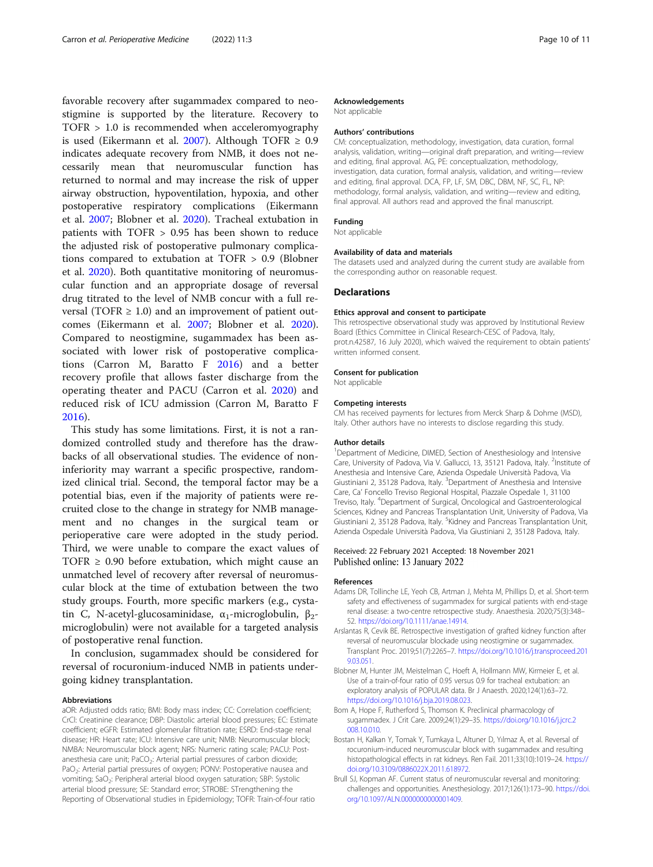<span id="page-9-0"></span>favorable recovery after sugammadex compared to neostigmine is supported by the literature. Recovery to TOFR > 1.0 is recommended when acceleromyography is used (Eikermann et al. [2007\)](#page-10-0). Although TOFR  $\geq 0.9$ indicates adequate recovery from NMB, it does not necessarily mean that neuromuscular function has returned to normal and may increase the risk of upper airway obstruction, hypoventilation, hypoxia, and other postoperative respiratory complications (Eikermann et al. [2007;](#page-10-0) Blobner et al. 2020). Tracheal extubation in patients with TOFR > 0.95 has been shown to reduce the adjusted risk of postoperative pulmonary complications compared to extubation at TOFR > 0.9 (Blobner et al. 2020). Both quantitative monitoring of neuromuscular function and an appropriate dosage of reversal drug titrated to the level of NMB concur with a full reversal (TOFR  $\geq$  1.0) and an improvement of patient outcomes (Eikermann et al. [2007;](#page-10-0) Blobner et al. 2020). Compared to neostigmine, sugammadex has been associated with lower risk of postoperative complications (Carron M, Baratto F [2016](#page-10-0)) and a better recovery profile that allows faster discharge from the operating theater and PACU (Carron et al. [2020\)](#page-10-0) and reduced risk of ICU admission (Carron M, Baratto F [2016\)](#page-10-0).

This study has some limitations. First, it is not a randomized controlled study and therefore has the drawbacks of all observational studies. The evidence of noninferiority may warrant a specific prospective, randomized clinical trial. Second, the temporal factor may be a potential bias, even if the majority of patients were recruited close to the change in strategy for NMB management and no changes in the surgical team or perioperative care were adopted in the study period. Third, we were unable to compare the exact values of TOFR  $\geq$  0.90 before extubation, which might cause an unmatched level of recovery after reversal of neuromuscular block at the time of extubation between the two study groups. Fourth, more specific markers (e.g., cystatin C, N-acetyl-glucosaminidase,  $α_1$ -microglobulin, β<sub>2</sub>microglobulin) were not available for a targeted analysis of postoperative renal function.

In conclusion, sugammadex should be considered for reversal of rocuronium-induced NMB in patients undergoing kidney transplantation.

#### Abbreviations

aOR: Adjusted odds ratio; BMI: Body mass index; CC: Correlation coefficient; CrCl: Creatinine clearance; DBP: Diastolic arterial blood pressures; EC: Estimate coefficient; eGFR: Estimated glomerular filtration rate; ESRD: End-stage renal disease; HR: Heart rate; ICU: Intensive care unit; NMB: Neuromuscular block; NMBA: Neuromuscular block agent; NRS: Numeric rating scale; PACU: Postanesthesia care unit; PaCO<sub>2</sub>: Arterial partial pressures of carbon dioxide; PaO<sub>2</sub>: Arterial partial pressures of oxygen; PONV: Postoperative nausea and vomiting; SaO<sub>2</sub>: Peripheral arterial blood oxygen saturation; SBP: Systolic arterial blood pressure; SE: Standard error; STROBE: STrengthening the Reporting of Observational studies in Epidemiology; TOFR: Train-of-four ratio

#### Acknowledgements

Not applicable

#### Authors' contributions

CM: conceptualization, methodology, investigation, data curation, formal analysis, validation, writing—original draft preparation, and writing—review and editing, final approval. AG, PE: conceptualization, methodology, investigation, data curation, formal analysis, validation, and writing—review and editing, final approval. DCA, FP, LF, SM, DBC, DBM, NF, SC, FL, NP: methodology, formal analysis, validation, and writing—review and editing, final approval. All authors read and approved the final manuscript.

#### Funding

Not applicable

#### Availability of data and materials

The datasets used and analyzed during the current study are available from the corresponding author on reasonable request.

#### Declarations

#### Ethics approval and consent to participate

This retrospective observational study was approved by Institutional Review Board (Ethics Committee in Clinical Research-CESC of Padova, Italy, prot.n.42587, 16 July 2020), which waived the requirement to obtain patients' written informed consent.

#### Consent for publication

Not applicable

#### Competing interests

CM has received payments for lectures from Merck Sharp & Dohme (MSD), Italy. Other authors have no interests to disclose regarding this study.

#### Author details

<sup>1</sup>Department of Medicine, DIMED, Section of Anesthesiology and Intensive Care, University of Padova, Via V. Gallucci, 13, 35121 Padova, Italy. <sup>2</sup>Institute of Anesthesia and Intensive Care, Azienda Ospedale Università Padova, Via Giustiniani 2, 35128 Padova, Italy. <sup>3</sup>Department of Anesthesia and Intensive Care, Ca' Foncello Treviso Regional Hospital, Piazzale Ospedale 1, 31100 Treviso, Italy. <sup>4</sup> Department of Surgical, Oncological and Gastroenterological Sciences, Kidney and Pancreas Transplantation Unit, University of Padova, Via Giustiniani 2, 35128 Padova, Italy. <sup>5</sup>Kidney and Pancreas Transplantation Unit Azienda Ospedale Università Padova, Via Giustiniani 2, 35128 Padova, Italy.

#### Received: 22 February 2021 Accepted: 18 November 2021 Published online: 13 January 2022

#### References

- Adams DR, Tollinche LE, Yeoh CB, Artman J, Mehta M, Phillips D, et al. Short-term safety and effectiveness of sugammadex for surgical patients with end-stage renal disease: a two-centre retrospective study. Anaesthesia. 2020;75(3):348– 52. [https://doi.org/10.1111/anae.14914.](https://doi.org/10.1111/anae.14914)
- Arslantas R, Cevik BE. Retrospective investigation of grafted kidney function after reversal of neuromuscular blockade using neostigmine or sugammadex. Transplant Proc. 2019;51(7):2265–7. [https://doi.org/10.1016/j.transproceed.201](https://doi.org/10.1016/j.transproceed.2019.03.051) [9.03.051.](https://doi.org/10.1016/j.transproceed.2019.03.051)
- Blobner M, Hunter JM, Meistelman C, Hoeft A, Hollmann MW, Kirmeier E, et al. Use of a train-of-four ratio of 0.95 versus 0.9 for tracheal extubation: an exploratory analysis of POPULAR data. Br J Anaesth. 2020;124(1):63–72. <https://doi.org/10.1016/j.bja.2019.08.023>.
- Bom A, Hope F, Rutherford S, Thomson K. Preclinical pharmacology of sugammadex. J Crit Care. 2009;24(1):29–35. [https://doi.org/10.1016/j.jcrc.2](https://doi.org/10.1016/j.jcrc.2008.10.010) [008.10.010](https://doi.org/10.1016/j.jcrc.2008.10.010).
- Bostan H, Kalkan Y, Tomak Y, Tumkaya L, Altuner D, Yılmaz A, et al. Reversal of rocuronium-induced neuromuscular block with sugammadex and resulting histopathological effects in rat kidneys. Ren Fail. 2011;33(10):1019–24. [https://](https://doi.org/10.3109/0886022X.2011.618972) [doi.org/10.3109/0886022X.2011.618972.](https://doi.org/10.3109/0886022X.2011.618972)
- Brull SJ, Kopman AF. Current status of neuromuscular reversal and monitoring: challenges and opportunities. Anesthesiology. 2017;126(1):173–90. [https://doi.](https://doi.org/10.1097/ALN.0000000000001409) [org/10.1097/ALN.0000000000001409.](https://doi.org/10.1097/ALN.0000000000001409)